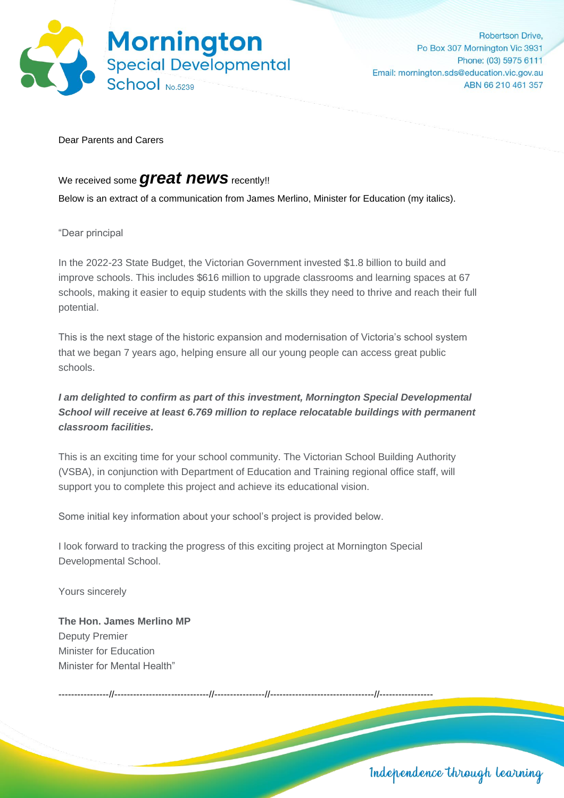

**Robertson Drive** Po Box 307 Mornington Vic 3931 Phone: (03) 5975 6111 Email: mornington.sds@education.vic.gov.au ABN 66 210 461 357

Dear Parents and Carers

## We received some *great news* recently!!

Below is an extract of a communication from James Merlino, Minister for Education (my italics).

"Dear principal

In the 2022-23 State Budget, the Victorian Government invested \$1.8 billion to build and improve schools. This includes \$616 million to upgrade classrooms and learning spaces at 67 schools, making it easier to equip students with the skills they need to thrive and reach their full potential.

This is the next stage of the historic expansion and modernisation of Victoria's school system that we began 7 years ago, helping ensure all our young people can access great public schools.

## *I am delighted to confirm as part of this investment, Mornington Special Developmental School will receive at least 6.769 million to replace relocatable buildings with permanent classroom facilities.*

This is an exciting time for your school community. The Victorian School Building Authority (VSBA), in conjunction with Department of Education and Training regional office staff, will support you to complete this project and achieve its educational vision.

Some initial key information about your school's project is provided below.

I look forward to tracking the progress of this exciting project at Mornington Special Developmental School.

Yours sincerely

**The Hon. James Merlino MP** Deputy Premier Minister for Education Minister for Mental Health"

----------------//------------------------------//----------------//---------------------------------//-----------------

Independence through learning